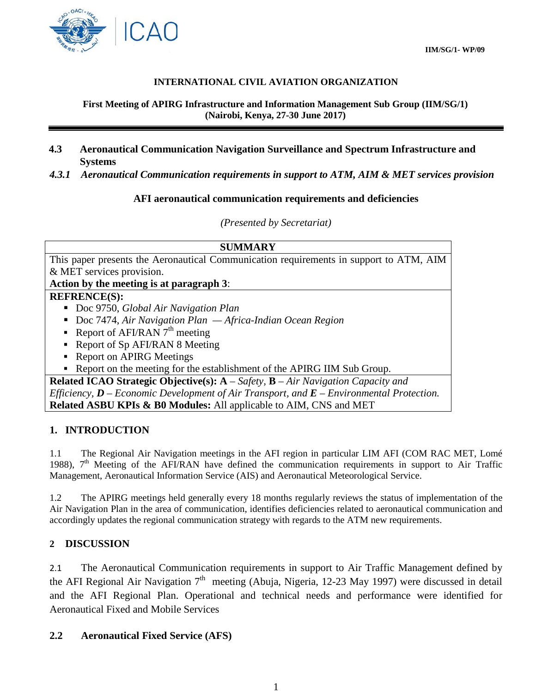

#### **INTERNATIONAL CIVIL AVIATION ORGANIZATION**

#### **First Meeting of APIRG Infrastructure and Information Management Sub Group (IIM/SG/1) (Nairobi, Kenya, 27-30 June 2017)**

- **4.3 Aeronautical Communication Navigation Surveillance and Spectrum Infrastructure and Systems**
- *4.3.1 Aeronautical Communication requirements in support to ATM, AIM & MET services provision*

#### **AFI aeronautical communication requirements and deficiencies**

*(Presented by Secretariat)*

| <b>SUMMARY</b>                                                                                  |
|-------------------------------------------------------------------------------------------------|
| This paper presents the Aeronautical Communication requirements in support to ATM, AIM          |
| & MET services provision.                                                                       |
| Action by the meeting is at paragraph 3:                                                        |
| <b>REFRENCE(S):</b>                                                                             |
| Doc 9750, Global Air Navigation Plan                                                            |
| Doc 7474, Air Navigation Plan $-A$ frica-Indian Ocean Region                                    |
| Report of AFI/RAN $7th$ meeting                                                                 |
| • Report of Sp AFI/RAN 8 Meeting                                                                |
| • Report on APIRG Meetings                                                                      |
| • Report on the meeting for the establishment of the APIRG IIM Sub Group.                       |
| <b>Related ICAO Strategic Objective(s):</b> $A - Safety$ , $B - Air\ Navigation\ Capacity\ and$ |
| Efficiency, $D$ – Economic Development of Air Transport, and $E$ – Environmental Protection.    |
| <b>Related ASBU KPIs &amp; B0 Modules:</b> All applicable to AIM, CNS and MET                   |

#### **1. INTRODUCTION**

1.1 The Regional Air Navigation meetings in the AFI region in particular LIM AFI (COM RAC MET, Lomé 1988),  $7<sup>th</sup>$  Meeting of the AFI/RAN have defined the communication requirements in support to Air Traffic Management, Aeronautical Information Service (AIS) and Aeronautical Meteorological Service.

1.2 The APIRG meetings held generally every 18 months regularly reviews the status of implementation of the Air Navigation Plan in the area of communication, identifies deficiencies related to aeronautical communication and accordingly updates the regional communication strategy with regards to the ATM new requirements.

#### **2 DISCUSSION**

2.1 The Aeronautical Communication requirements in support to Air Traffic Management defined by the AFI Regional Air Navigation  $7<sup>th</sup>$  meeting (Abuja, Nigeria, 12-23 May 1997) were discussed in detail and the AFI Regional Plan. Operational and technical needs and performance were identified for Aeronautical Fixed and Mobile Services

#### **2.2 Aeronautical Fixed Service (AFS)**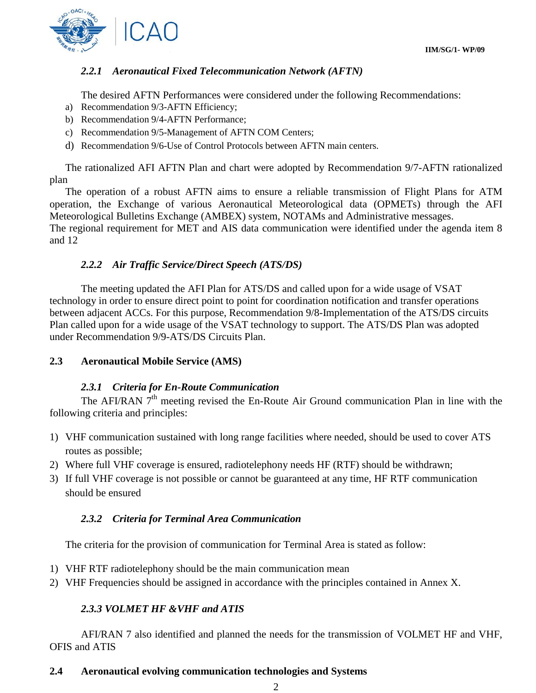

### *2.2.1 Aeronautical Fixed Telecommunication Network (AFTN)*

The desired AFTN Performances were considered under the following Recommendations:

- a) Recommendation 9/3-AFTN Efficiency;
- b) Recommendation 9/4-AFTN Performance;
- c) Recommendation 9/5-Management of AFTN COM Centers;
- d) Recommendation 9/6-Use of Control Protocols between AFTN main centers.

The rationalized AFI AFTN Plan and chart were adopted by Recommendation 9/7-AFTN rationalized plan

The operation of a robust AFTN aims to ensure a reliable transmission of Flight Plans for ATM operation, the Exchange of various Aeronautical Meteorological data (OPMETs) through the AFI Meteorological Bulletins Exchange (AMBEX) system, NOTAMs and Administrative messages. The regional requirement for MET and AIS data communication were identified under the agenda item 8 and 12

### *2.2.2 Air Traffic Service/Direct Speech (ATS/DS)*

The meeting updated the AFI Plan for ATS/DS and called upon for a wide usage of VSAT technology in order to ensure direct point to point for coordination notification and transfer operations between adjacent ACCs. For this purpose, Recommendation 9/8-Implementation of the ATS/DS circuits Plan called upon for a wide usage of the VSAT technology to support. The ATS/DS Plan was adopted under Recommendation 9/9-ATS/DS Circuits Plan.

### **2.3 Aeronautical Mobile Service (AMS)**

### *2.3.1 Criteria for En-Route Communication*

The AFI/RAN 7<sup>th</sup> meeting revised the En-Route Air Ground communication Plan in line with the following criteria and principles:

- 1) VHF communication sustained with long range facilities where needed, should be used to cover ATS routes as possible;
- 2) Where full VHF coverage is ensured, radiotelephony needs HF (RTF) should be withdrawn;
- 3) If full VHF coverage is not possible or cannot be guaranteed at any time, HF RTF communication should be ensured

### *2.3.2 Criteria for Terminal Area Communication*

The criteria for the provision of communication for Terminal Area is stated as follow:

- 1) VHF RTF radiotelephony should be the main communication mean
- 2) VHF Frequencies should be assigned in accordance with the principles contained in Annex X.

## *2.3.3 VOLMET HF &VHF and ATIS*

AFI/RAN 7 also identified and planned the needs for the transmission of VOLMET HF and VHF, OFIS and ATIS

### **2.4 Aeronautical evolving communication technologies and Systems**